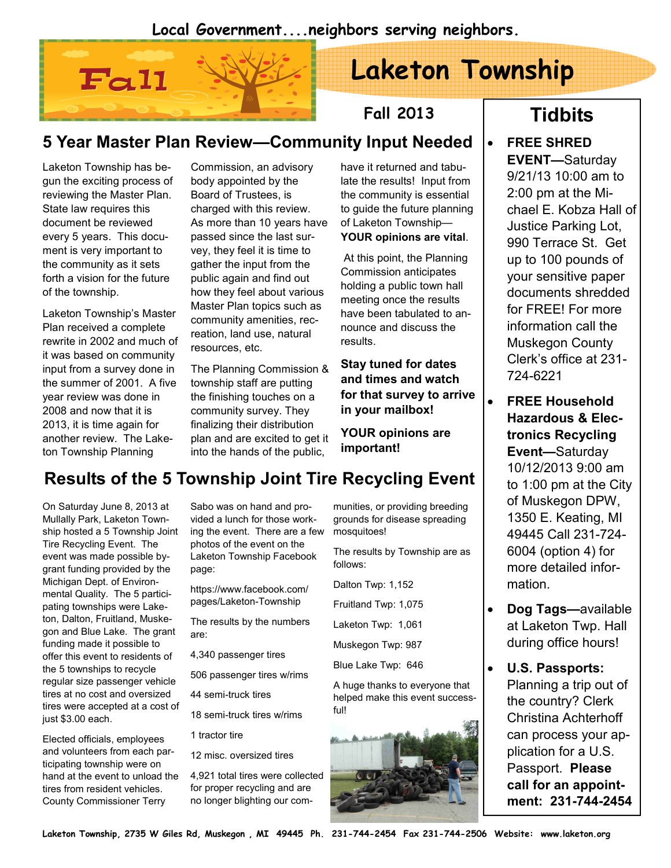#### Local Government....neighbors serving neighbors.



# Laketon Township

Fall 2013

### 5 Year Master Plan Review—Community Input Needed

Laketon Township has begun the exciting process of reviewing the Master Plan. State law requires this document be reviewed every 5 years. This document is very important to the community as it sets forth a vision for the future of the township.

Laketon Township's Master Plan received a complete rewrite in 2002 and much of it was based on community input from a survey done in the summer of 2001. A five year review was done in 2008 and now that it is 2013, it is time again for another review. The Laketon Township Planning

Commission, an advisory body appointed by the Board of Trustees, is charged with this review. As more than 10 years have passed since the last survey, they feel it is time to gather the input from the public again and find out how they feel about various Master Plan topics such as community amenities, recreation, land use, natural resources, etc.

The Planning Commission & township staff are putting community survey. They finalizing their distribution plan and are excited to get it into the hands of the public,

have it returned and tabulate the results! Input from the community is essential to guide the future planning of Laketon Township— YOUR opinions are vital.

 At this point, the Planning Commission anticipates holding a public town hall meeting once the results have been tabulated to announce and discuss the results.

Stay tuned for dates and times and watch in your mailbox!

YOUR opinions are

#### the finishing touches on a for that survey to arrive

important!

## Results of the 5 Township Joint Tire Recycling Event

On Saturday June 8, 2013 at Mullally Park, Laketon Township hosted a 5 Township Joint Tire Recycling Event. The event was made possible bygrant funding provided by the Michigan Dept. of Environmental Quality. The 5 participating townships were Laketon, Dalton, Fruitland, Muskegon and Blue Lake. The grant funding made it possible to offer this event to residents of the 5 townships to recycle regular size passenger vehicle tires at no cost and oversized tires were accepted at a cost of just \$3.00 each.

Elected officials, employees and volunteers from each participating township were on hand at the event to unload the tires from resident vehicles. County Commissioner Terry

Sabo was on hand and provided a lunch for those working the event. There are a few photos of the event on the Laketon Township Facebook page:

https://www.facebook.com/ pages/Laketon-Township

The results by the numbers are:

4,340 passenger tires

506 passenger tires w/rims

44 semi-truck tires

18 semi-truck tires w/rims

1 tractor tire

12 misc. oversized tires

4,921 total tires were collected for proper recycling and are no longer blighting our communities, or providing breeding grounds for disease spreading mosquitoes!

The results by Township are as follows:

Dalton Twp: 1,152

Fruitland Twp: 1,075

Laketon Twp: 1,061

Muskegon Twp: 987

Blue Lake Twp: 646

A huge thanks to everyone that helped make this event successful!



# **Tidbits**

#### • FREE SHRED EVENT—Saturday 9/21/13 10:00 am to 2:00 pm at the Michael E. Kobza Hall of Justice Parking Lot, 990 Terrace St. Get up to 100 pounds of your sensitive paper documents shredded for FREE! For more information call the Muskegon County Clerk's office at 231- 724-6221

- FREE Household Hazardous & Electronics Recycling Event—Saturday 10/12/2013 9:00 am to 1:00 pm at the City of Muskegon DPW, 1350 E. Keating, MI 49445 Call 231-724- 6004 (option 4) for more detailed information.
- Dog Tags—available at Laketon Twp. Hall during office hours!
- U.S. Passports: Planning a trip out of the country? Clerk Christina Achterhoff can process your application for a U.S. Passport. Please call for an appointment: 231-744-2454